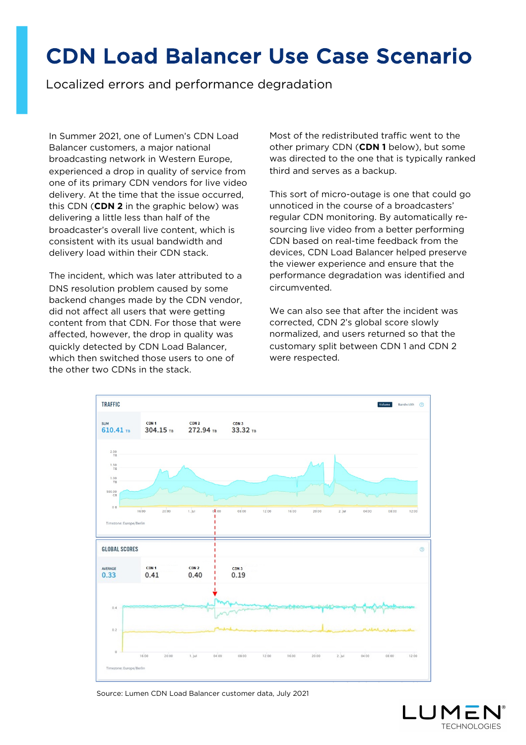## CDN Load Balancer Use Case Scenario

Localized errors and performance degradation

In Summer 2021, one of Lumen's CDN Load Balancer customers, a major national broadcasting network in Western Europe, experienced a drop in quality of service from one of its primary CDN vendors for live video delivery. At the time that the issue occurred, this CDN (**CDN 2** in the graphic below) was delivering a little less than half of the broadcaster's overall live content, which is consistent with its usual bandwidth and delivery load within their CDN stack.

The incident, which was later attributed to a DNS resolution problem caused by some backend changes made by the CDN vendor, did not affect all users that were getting content from that CDN. For those that were affected, however, the drop in quality was quickly detected by CDN Load Balancer, which then switched those users to one of the other two CDNs in the stack.

Most of the redistributed traffic went to the other primary CDN (**CDN 1** below), but some was directed to the one that is typically ranked third and serves as a backup.

This sort of micro-outage is one that could go unnoticed in the course of a broadcasters' regular CDN monitoring. By automatically resourcing live video from a better performing CDN based on real-time feedback from the devices, CDN Load Balancer helped preserve the viewer experience and ensure that the performance degradation was identified and circumvented.

We can also see that after the incident was corrected, CDN 2's global score slowly normalized, and users returned so that the customary split between CDN 1 and CDN 2 were respected.



Source: Lumen CDN Load Balancer customer data, July 2021